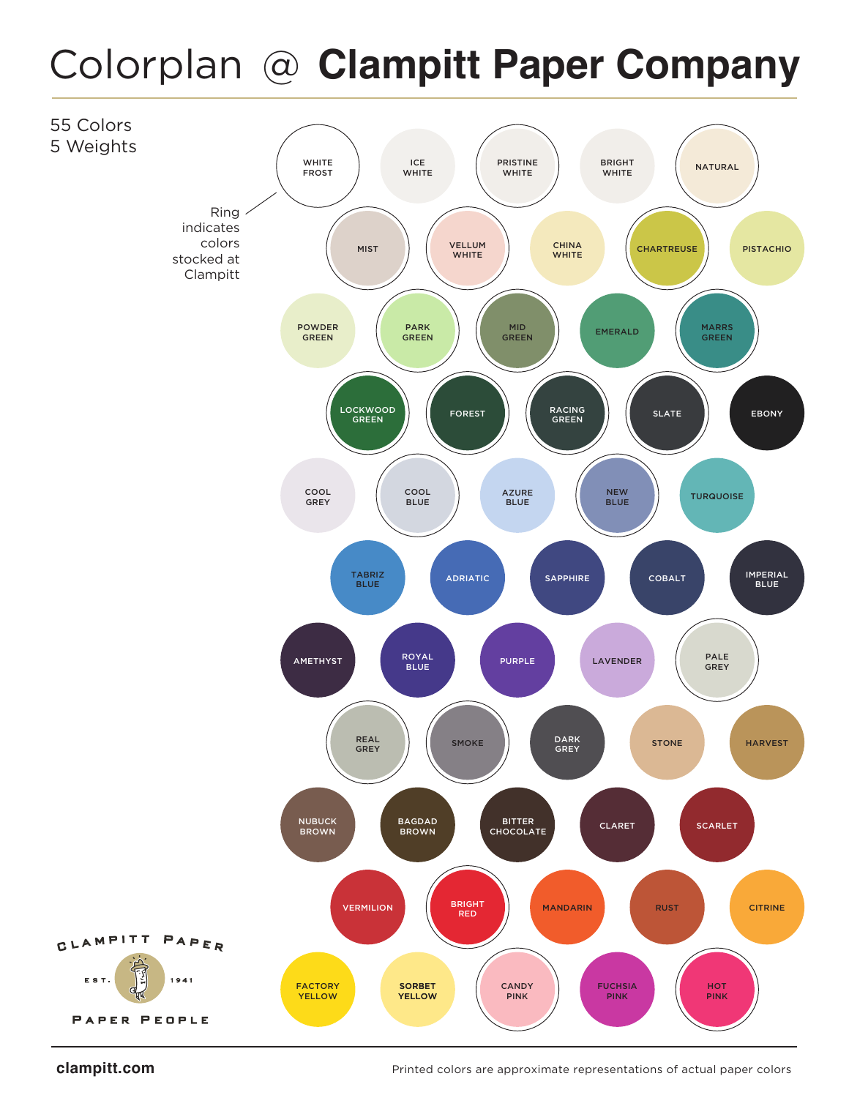## Colorplan @ **Clampitt Paper Company**



**clampitt.com** extends the printed colors are approximate representations of actual paper colors